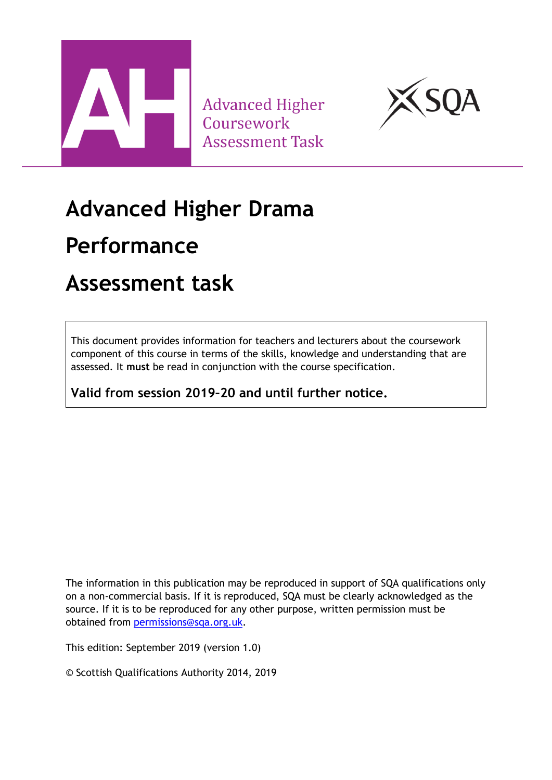

**Advanced Higher** Coursework **Assessment Task** 



# **Advanced Higher Drama**

## **Performance**

## **Assessment task**

This document provides information for teachers and lecturers about the coursework component of this course in terms of the skills, knowledge and understanding that are assessed. It **must** be read in conjunction with the course specification.

**Valid from session 2019–20 and until further notice.** 

The information in this publication may be reproduced in support of SQA qualifications only on a non-commercial basis. If it is reproduced, SQA must be clearly acknowledged as the source. If it is to be reproduced for any other purpose, written permission must be obtained from [permissions@sqa.org.uk.](mailto:permissions@sqa.org.uk)

This edition: September 2019 (version 1.0)

© Scottish Qualifications Authority 2014, 2019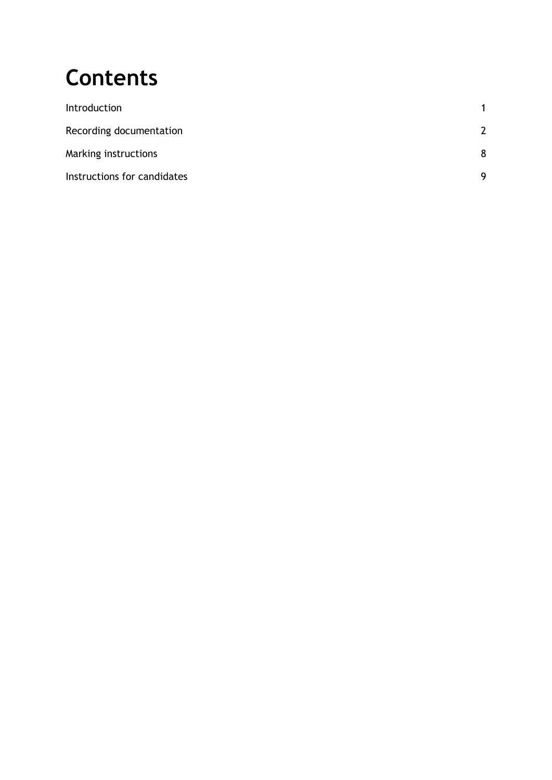# **Contents**

| Introduction                |               |
|-----------------------------|---------------|
| Recording documentation     | $\mathcal{P}$ |
| Marking instructions        | 8             |
| Instructions for candidates | q             |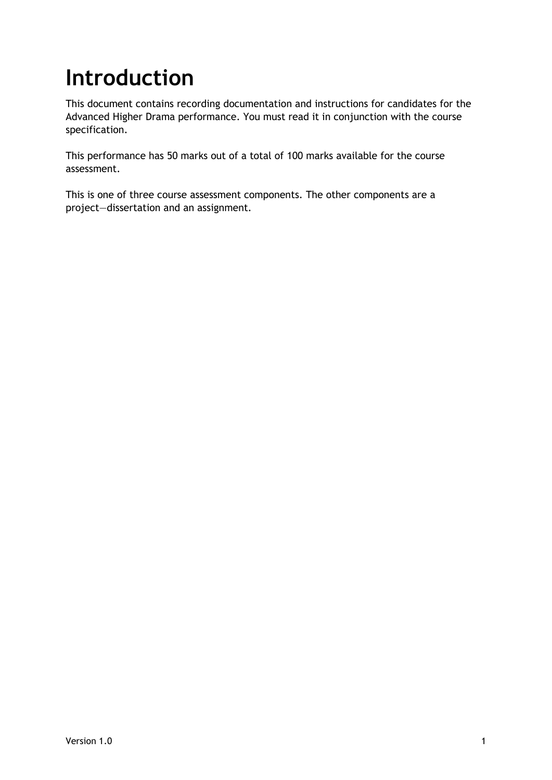# <span id="page-2-0"></span>**Introduction**

This document contains recording documentation and instructions for candidates for the Advanced Higher Drama performance. You must read it in conjunction with the course specification.

This performance has 50 marks out of a total of 100 marks available for the course assessment.

This is one of three course assessment components. The other components are a project—dissertation and an assignment.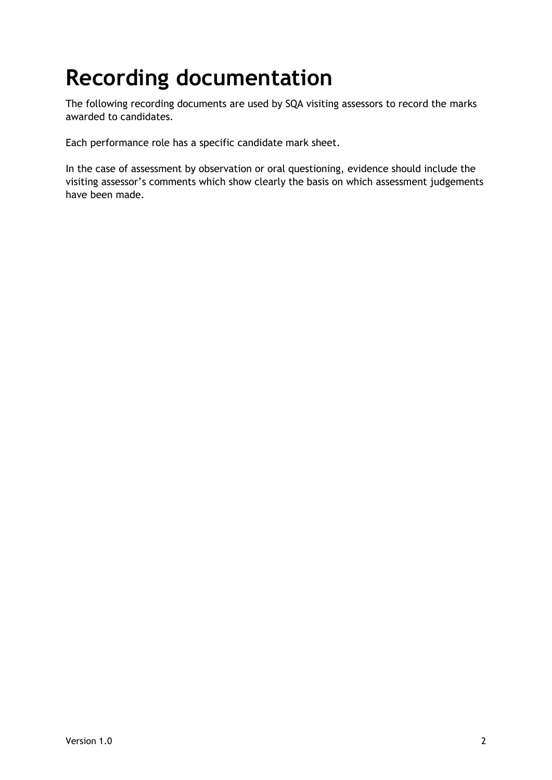# <span id="page-3-0"></span>**Recording documentation**

The following recording documents are used by SQA visiting assessors to record the marks awarded to candidates.

Each performance role has a specific candidate mark sheet.

In the case of assessment by observation or oral questioning, evidence should include the visiting assessor's comments which show clearly the basis on which assessment judgements have been made.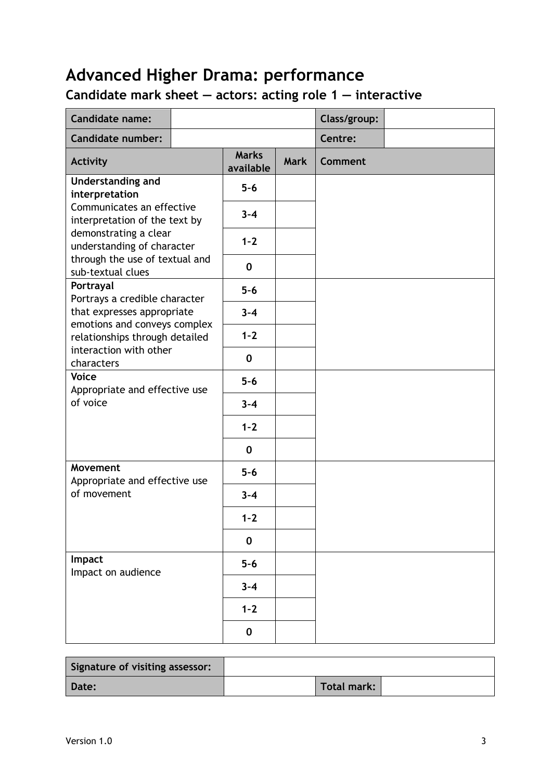### **Candidate mark sheet — actors: acting role 1 — interactive**

| <b>Candidate name:</b>                                     |                           |             | Class/group:   |
|------------------------------------------------------------|---------------------------|-------------|----------------|
| <b>Candidate number:</b>                                   |                           |             | Centre:        |
| <b>Activity</b>                                            | <b>Marks</b><br>available | <b>Mark</b> | <b>Comment</b> |
| Understanding and<br>interpretation                        | $5-6$                     |             |                |
| Communicates an effective<br>interpretation of the text by | $3 - 4$                   |             |                |
| demonstrating a clear<br>understanding of character        | $1 - 2$                   |             |                |
| through the use of textual and<br>sub-textual clues        | $\mathbf 0$               |             |                |
| Portrayal<br>Portrays a credible character                 | $5-6$                     |             |                |
| that expresses appropriate<br>emotions and conveys complex | $3 - 4$                   |             |                |
| relationships through detailed                             | $1 - 2$                   |             |                |
| interaction with other<br>characters                       | $\mathbf 0$               |             |                |
| <b>Voice</b><br>Appropriate and effective use              | $5-6$                     |             |                |
| of voice                                                   | $3 - 4$                   |             |                |
|                                                            | $1 - 2$                   |             |                |
|                                                            | $\mathbf 0$               |             |                |
| Movement<br>Appropriate and effective use                  | $5-6$                     |             |                |
| of movement                                                | $3 - 4$                   |             |                |
|                                                            | $1 - 2$                   |             |                |
|                                                            | $\mathbf 0$               |             |                |
| Impact<br>Impact on audience                               | $5-6$                     |             |                |
|                                                            | $3 - 4$                   |             |                |
|                                                            | $1 - 2$                   |             |                |
|                                                            | $\mathbf 0$               |             |                |

| Signature of visiting assessor: |             |  |
|---------------------------------|-------------|--|
| Date:                           | Total mark: |  |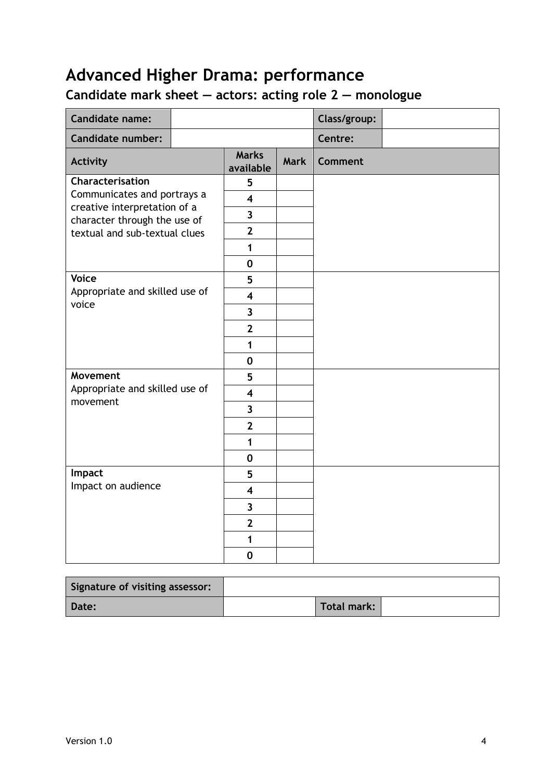### **Candidate mark sheet — actors: acting role 2 — monologue**

| <b>Candidate name:</b>                                       |                           |             | Class/group:   |  |
|--------------------------------------------------------------|---------------------------|-------------|----------------|--|
| <b>Candidate number:</b>                                     |                           |             | Centre:        |  |
| <b>Activity</b>                                              | <b>Marks</b><br>available | <b>Mark</b> | <b>Comment</b> |  |
| Characterisation                                             | 5                         |             |                |  |
| Communicates and portrays a                                  | $\overline{\mathbf{4}}$   |             |                |  |
| creative interpretation of a<br>character through the use of | $\overline{\mathbf{3}}$   |             |                |  |
| textual and sub-textual clues                                | $\overline{2}$            |             |                |  |
|                                                              | 1                         |             |                |  |
|                                                              | $\mathbf 0$               |             |                |  |
| <b>Voice</b>                                                 | 5                         |             |                |  |
| Appropriate and skilled use of<br>voice                      | $\overline{\mathbf{4}}$   |             |                |  |
|                                                              | $\overline{\mathbf{3}}$   |             |                |  |
|                                                              | $\overline{2}$            |             |                |  |
|                                                              | $\mathbf{1}$              |             |                |  |
|                                                              | $\mathbf 0$               |             |                |  |
| Movement                                                     | 5                         |             |                |  |
| Appropriate and skilled use of<br>movement                   | $\overline{\mathbf{4}}$   |             |                |  |
|                                                              | $\overline{\mathbf{3}}$   |             |                |  |
|                                                              | $\overline{2}$            |             |                |  |
|                                                              | $\mathbf{1}$              |             |                |  |
|                                                              | $\mathbf 0$               |             |                |  |
| Impact                                                       | 5                         |             |                |  |
| Impact on audience                                           | $\overline{\mathbf{4}}$   |             |                |  |
|                                                              | $\overline{\mathbf{3}}$   |             |                |  |
|                                                              | $\overline{2}$            |             |                |  |
|                                                              | $\mathbf{1}$              |             |                |  |
|                                                              | $\mathbf 0$               |             |                |  |

| Signature of visiting assessor: |             |  |
|---------------------------------|-------------|--|
| Date:                           | Total mark: |  |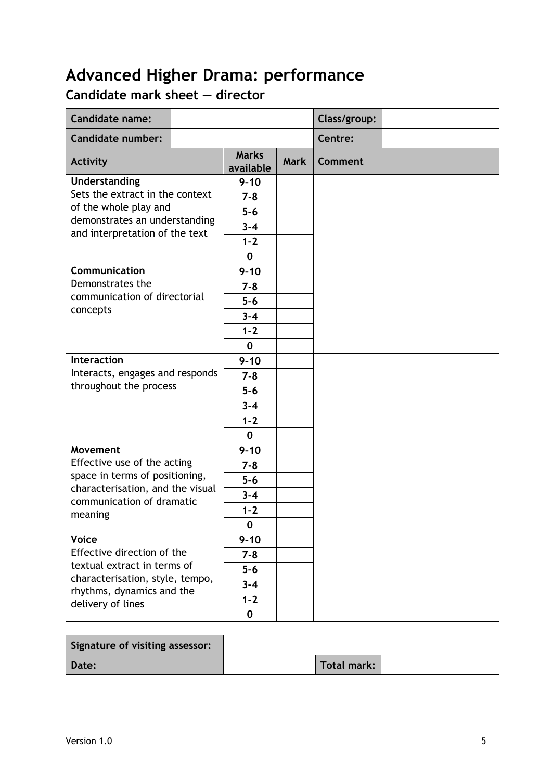### **Candidate mark sheet — director**

| <b>Candidate name:</b>                                          |                           |             | Class/group:   |  |
|-----------------------------------------------------------------|---------------------------|-------------|----------------|--|
| <b>Candidate number:</b>                                        |                           |             | Centre:        |  |
| <b>Activity</b>                                                 | <b>Marks</b><br>available | <b>Mark</b> | <b>Comment</b> |  |
| Understanding                                                   | $9 - 10$                  |             |                |  |
| Sets the extract in the context                                 | $7 - 8$                   |             |                |  |
| of the whole play and                                           | $5-6$                     |             |                |  |
| demonstrates an understanding<br>and interpretation of the text | $3 - 4$                   |             |                |  |
|                                                                 | $1 - 2$                   |             |                |  |
|                                                                 | $\mathbf 0$               |             |                |  |
| Communication                                                   | $9 - 10$                  |             |                |  |
| Demonstrates the                                                | $7 - 8$                   |             |                |  |
| communication of directorial                                    | $5-6$                     |             |                |  |
| concepts                                                        | $3 - 4$                   |             |                |  |
|                                                                 | $1 - 2$                   |             |                |  |
|                                                                 | $\mathbf 0$               |             |                |  |
| <b>Interaction</b>                                              | $9 - 10$                  |             |                |  |
| Interacts, engages and responds                                 | $7 - 8$                   |             |                |  |
| throughout the process                                          | $5-6$                     |             |                |  |
|                                                                 | $3 - 4$                   |             |                |  |
|                                                                 | $1 - 2$                   |             |                |  |
|                                                                 | $\mathbf 0$               |             |                |  |
| Movement                                                        | $9 - 10$                  |             |                |  |
| Effective use of the acting                                     | $7 - 8$                   |             |                |  |
| space in terms of positioning,                                  | $5-6$                     |             |                |  |
| characterisation, and the visual<br>communication of dramatic   | $3 - 4$                   |             |                |  |
| meaning                                                         | $1 - 2$                   |             |                |  |
|                                                                 | U                         |             |                |  |
| <b>Voice</b>                                                    | $9 - 10$                  |             |                |  |
| Effective direction of the                                      | $7 - 8$                   |             |                |  |
| textual extract in terms of                                     | $5-6$                     |             |                |  |
| characterisation, style, tempo,<br>rhythms, dynamics and the    | $3 - 4$                   |             |                |  |
| delivery of lines                                               | $1 - 2$                   |             |                |  |
|                                                                 | $\bf{0}$                  |             |                |  |

| Signature of visiting assessor: |                    |  |
|---------------------------------|--------------------|--|
| Date:                           | <b>Total mark:</b> |  |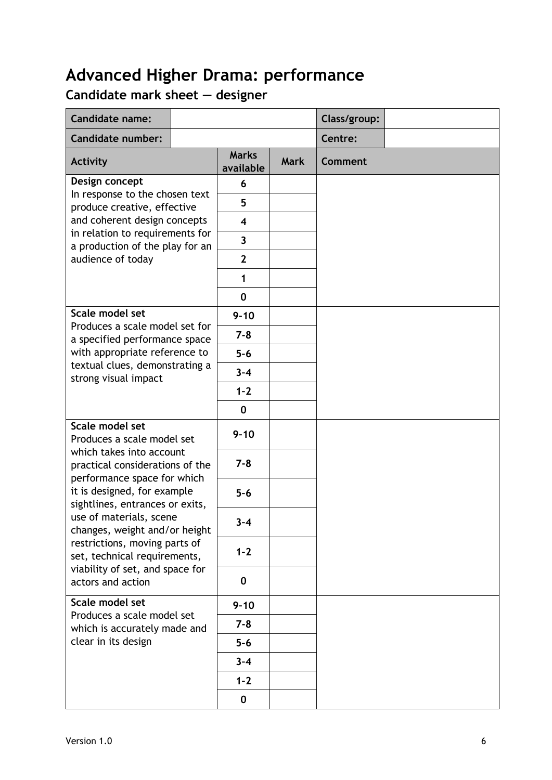### **Candidate mark sheet — designer**

| <b>Candidate name:</b>                                                                     |         |                           |             | Class/group:   |  |
|--------------------------------------------------------------------------------------------|---------|---------------------------|-------------|----------------|--|
| <b>Candidate number:</b>                                                                   |         |                           |             | Centre:        |  |
| <b>Activity</b>                                                                            |         | <b>Marks</b><br>available | <b>Mark</b> | <b>Comment</b> |  |
| Design concept<br>In response to the chosen text<br>produce creative, effective            |         | 6                         |             |                |  |
|                                                                                            |         | 5                         |             |                |  |
| and coherent design concepts                                                               |         | $\overline{\mathbf{4}}$   |             |                |  |
| in relation to requirements for<br>a production of the play for an                         |         | $\overline{\mathbf{3}}$   |             |                |  |
| audience of today                                                                          |         | $\overline{2}$            |             |                |  |
|                                                                                            |         | 1                         |             |                |  |
|                                                                                            |         | $\mathbf 0$               |             |                |  |
| Scale model set                                                                            |         | $9 - 10$                  |             |                |  |
| Produces a scale model set for<br>a specified performance space                            |         | $7 - 8$                   |             |                |  |
| with appropriate reference to                                                              |         | $5-6$                     |             |                |  |
| textual clues, demonstrating a<br>strong visual impact                                     | $3 - 4$ |                           |             |                |  |
|                                                                                            |         | $1 - 2$                   |             |                |  |
|                                                                                            |         | $\mathbf 0$               |             |                |  |
| Scale model set<br>Produces a scale model set                                              |         | $9 - 10$                  |             |                |  |
| which takes into account<br>practical considerations of the<br>performance space for which |         | $7 - 8$                   |             |                |  |
| it is designed, for example<br>sightlines, entrances or exits,                             |         | $5-6$                     |             |                |  |
| use of materials, scene<br>changes, weight and/or height                                   |         | $3 - 4$                   |             |                |  |
| restrictions, moving parts of<br>set, technical requirements,                              |         | $1 - 2$                   |             |                |  |
| viability of set, and space for<br>actors and action                                       |         | $\mathbf 0$               |             |                |  |
| Scale model set                                                                            |         | $9 - 10$                  |             |                |  |
| Produces a scale model set<br>which is accurately made and<br>clear in its design          |         | $7 - 8$                   |             |                |  |
|                                                                                            |         | $5 - 6$                   |             |                |  |
|                                                                                            |         | $3 - 4$                   |             |                |  |
|                                                                                            |         | $1 - 2$                   |             |                |  |
|                                                                                            |         | $\mathbf 0$               |             |                |  |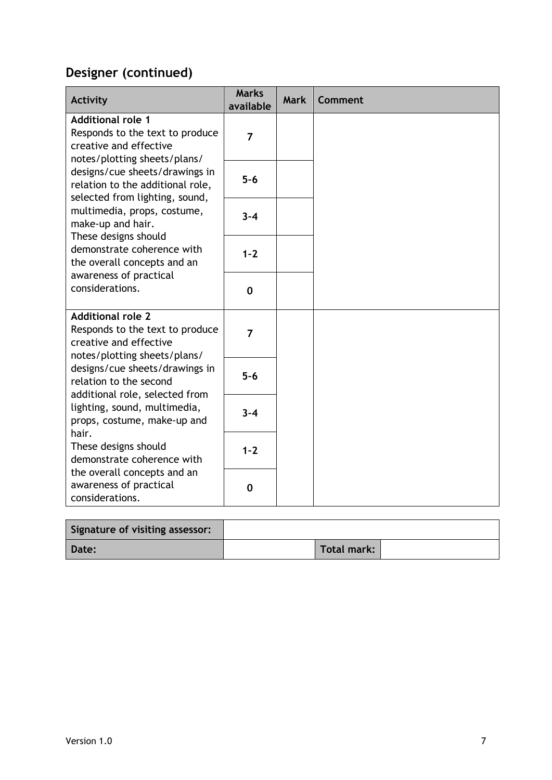### **Designer (continued)**

| Activity                                                                                                              | <b>Marks</b><br>available | <b>Mark</b> | Comment |
|-----------------------------------------------------------------------------------------------------------------------|---------------------------|-------------|---------|
| <b>Additional role 1</b><br>Responds to the text to produce<br>creative and effective<br>notes/plotting sheets/plans/ | $\overline{7}$            |             |         |
| designs/cue sheets/drawings in<br>relation to the additional role,<br>selected from lighting, sound,                  | $5-6$                     |             |         |
| multimedia, props, costume,<br>make-up and hair.<br>These designs should                                              | $3 - 4$                   |             |         |
| demonstrate coherence with<br>the overall concepts and an                                                             | $1 - 2$                   |             |         |
| awareness of practical<br>considerations.                                                                             | $\mathbf 0$               |             |         |
| <b>Additional role 2</b><br>Responds to the text to produce<br>creative and effective<br>notes/plotting sheets/plans/ | $\overline{7}$            |             |         |
| designs/cue sheets/drawings in<br>relation to the second<br>additional role, selected from                            | $5-6$                     |             |         |
| lighting, sound, multimedia,<br>props, costume, make-up and<br>hair.                                                  | $3 - 4$                   |             |         |
| These designs should<br>demonstrate coherence with<br>the overall concepts and an                                     | $1 - 2$                   |             |         |
| awareness of practical<br>considerations.                                                                             | 0                         |             |         |

| Signature of visiting assessor: |             |  |
|---------------------------------|-------------|--|
| Date:                           | Total mark: |  |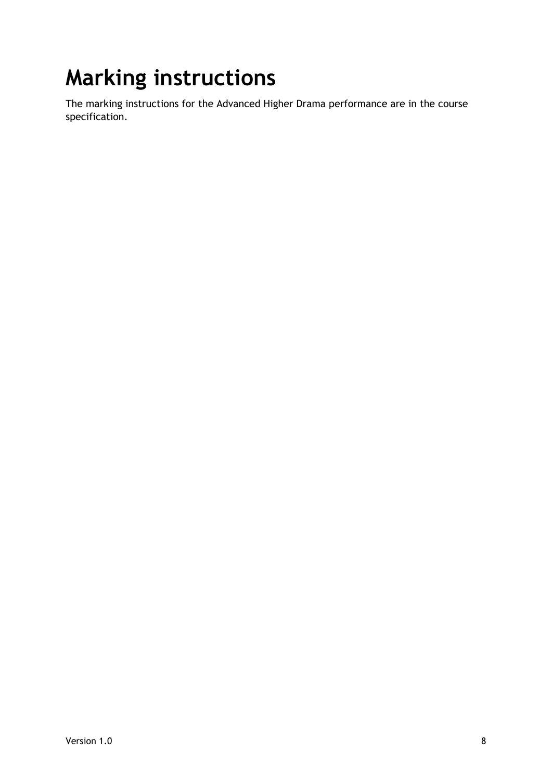# <span id="page-9-0"></span>**Marking instructions**

The marking instructions for the Advanced Higher Drama performance are in the course specification.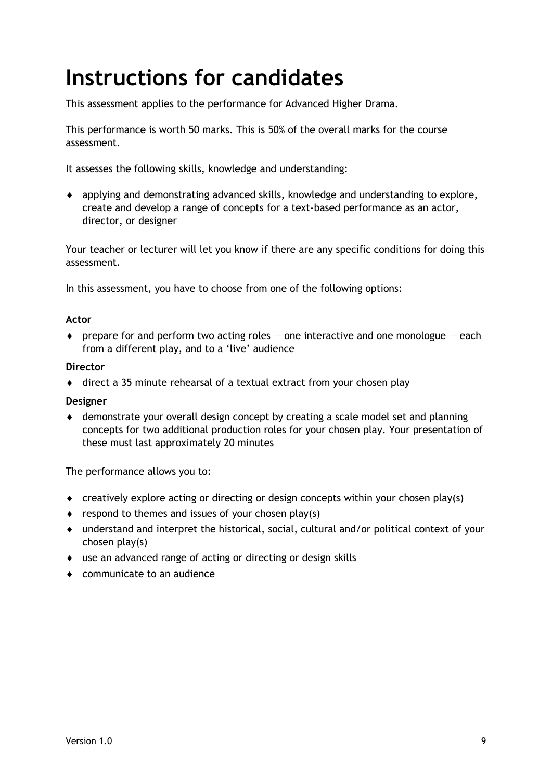# <span id="page-10-0"></span>**Instructions for candidates**

This assessment applies to the performance for Advanced Higher Drama.

This performance is worth 50 marks. This is 50% of the overall marks for the course assessment.

It assesses the following skills, knowledge and understanding:

 applying and demonstrating advanced skills, knowledge and understanding to explore, create and develop a range of concepts for a text-based performance as an actor, director, or designer

Your teacher or lecturer will let you know if there are any specific conditions for doing this assessment.

In this assessment, you have to choose from one of the following options:

#### **Actor**

 $\bullet$  prepare for and perform two acting roles  $-$  one interactive and one monologue  $-$  each from a different play, and to a 'live' audience

#### **Director**

direct a 35 minute rehearsal of a textual extract from your chosen play

#### **Designer**

 demonstrate your overall design concept by creating a scale model set and planning concepts for two additional production roles for your chosen play. Your presentation of these must last approximately 20 minutes

The performance allows you to:

- creatively explore acting or directing or design concepts within your chosen play(s)
- $\bullet$  respond to themes and issues of your chosen play(s)
- understand and interpret the historical, social, cultural and/or political context of your chosen play(s)
- use an advanced range of acting or directing or design skills
- communicate to an audience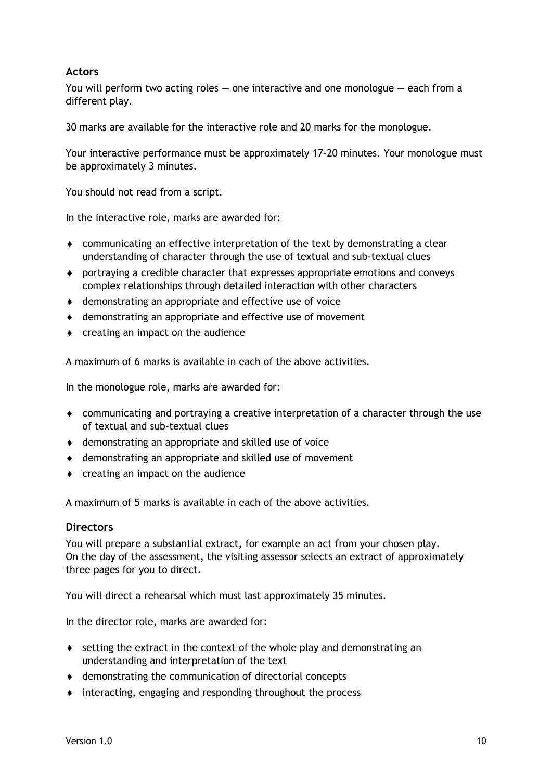#### **Actors**

You will perform two acting roles  $-$  one interactive and one monologue  $-$  each from a different play.

30 marks are available for the interactive role and 20 marks for the monologue.

Your interactive performance must be approximately 17–20 minutes. Your monologue must be approximately 3 minutes.

You should not read from a script.

In the interactive role, marks are awarded for:

- communicating an effective interpretation of the text by demonstrating a clear understanding of character through the use of textual and sub-textual clues
- portraying a credible character that expresses appropriate emotions and conveys complex relationships through detailed interaction with other characters
- demonstrating an appropriate and effective use of voice
- demonstrating an appropriate and effective use of movement
- creating an impact on the audience

A maximum of 6 marks is available in each of the above activities.

In the monologue role, marks are awarded for:

- communicating and portraying a creative interpretation of a character through the use of textual and sub-textual clues
- demonstrating an appropriate and skilled use of voice
- demonstrating an appropriate and skilled use of movement
- $\bullet$  creating an impact on the audience

A maximum of 5 marks is available in each of the above activities.

#### **Directors**

You will prepare a substantial extract, for example an act from your chosen play. On the day of the assessment, the visiting assessor selects an extract of approximately three pages for you to direct.

You will direct a rehearsal which must last approximately 35 minutes.

In the director role, marks are awarded for:

- setting the extract in the context of the whole play and demonstrating an understanding and interpretation of the text
- demonstrating the communication of directorial concepts
- interacting, engaging and responding throughout the process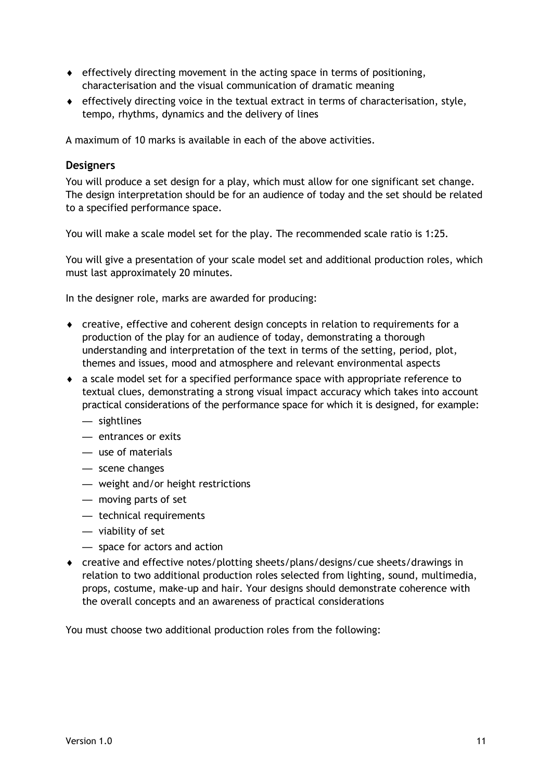- $\bullet$  effectively directing movement in the acting space in terms of positioning, characterisation and the visual communication of dramatic meaning
- $\bullet$  effectively directing voice in the textual extract in terms of characterisation, style, tempo, rhythms, dynamics and the delivery of lines

A maximum of 10 marks is available in each of the above activities.

#### **Designers**

You will produce a set design for a play, which must allow for one significant set change. The design interpretation should be for an audience of today and the set should be related to a specified performance space.

You will make a scale model set for the play. The recommended scale ratio is 1:25.

You will give a presentation of your scale model set and additional production roles, which must last approximately 20 minutes.

In the designer role, marks are awarded for producing:

- creative, effective and coherent design concepts in relation to requirements for a production of the play for an audience of today, demonstrating a thorough understanding and interpretation of the text in terms of the setting, period, plot, themes and issues, mood and atmosphere and relevant environmental aspects
- a scale model set for a specified performance space with appropriate reference to textual clues, demonstrating a strong visual impact accuracy which takes into account practical considerations of the performance space for which it is designed, for example:
	- sightlines
	- entrances or exits
	- use of materials
	- scene changes
	- weight and/or height restrictions
	- moving parts of set
	- technical requirements
	- viability of set
	- space for actors and action
- creative and effective notes/plotting sheets/plans/designs/cue sheets/drawings in relation to two additional production roles selected from lighting, sound, multimedia, props, costume, make-up and hair. Your designs should demonstrate coherence with the overall concepts and an awareness of practical considerations

You must choose two additional production roles from the following: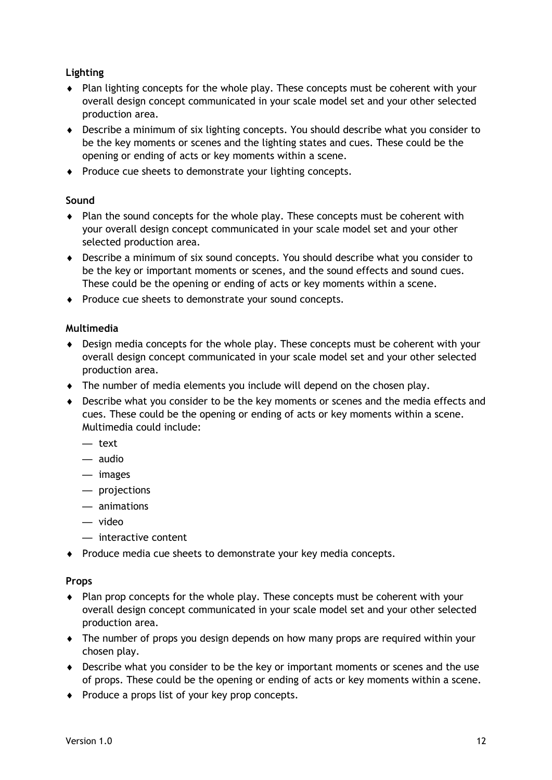#### **Lighting**

- Plan lighting concepts for the whole play. These concepts must be coherent with your overall design concept communicated in your scale model set and your other selected production area.
- Describe a minimum of six lighting concepts. You should describe what you consider to be the key moments or scenes and the lighting states and cues. These could be the opening or ending of acts or key moments within a scene.
- Produce cue sheets to demonstrate your lighting concepts.

#### **Sound**

- Plan the sound concepts for the whole play. These concepts must be coherent with your overall design concept communicated in your scale model set and your other selected production area.
- Describe a minimum of six sound concepts. You should describe what you consider to be the key or important moments or scenes, and the sound effects and sound cues. These could be the opening or ending of acts or key moments within a scene.
- Produce cue sheets to demonstrate your sound concepts.

#### **Multimedia**

- Design media concepts for the whole play. These concepts must be coherent with your overall design concept communicated in your scale model set and your other selected production area.
- The number of media elements you include will depend on the chosen play.
- Describe what you consider to be the key moments or scenes and the media effects and cues. These could be the opening or ending of acts or key moments within a scene. Multimedia could include:
	- text
	- audio
	- images
	- projections
	- animations
	- video
	- interactive content
- Produce media cue sheets to demonstrate your key media concepts.

#### **Props**

- Plan prop concepts for the whole play. These concepts must be coherent with your overall design concept communicated in your scale model set and your other selected production area.
- The number of props you design depends on how many props are required within your chosen play.
- Describe what you consider to be the key or important moments or scenes and the use of props. These could be the opening or ending of acts or key moments within a scene.
- $\bullet$  Produce a props list of your key prop concepts.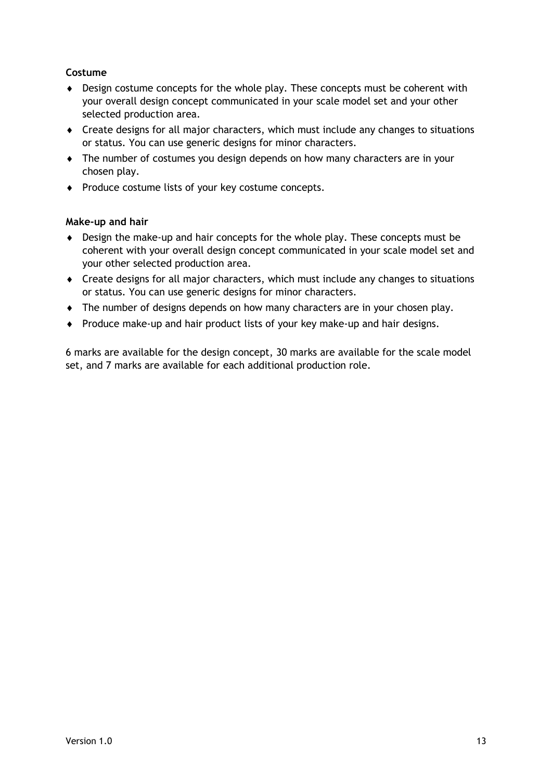#### **Costume**

- Design costume concepts for the whole play. These concepts must be coherent with your overall design concept communicated in your scale model set and your other selected production area.
- Create designs for all major characters, which must include any changes to situations or status. You can use generic designs for minor characters.
- The number of costumes you design depends on how many characters are in your chosen play.
- Produce costume lists of your key costume concepts.

#### **Make-up and hair**

- Design the make-up and hair concepts for the whole play. These concepts must be coherent with your overall design concept communicated in your scale model set and your other selected production area.
- Create designs for all major characters, which must include any changes to situations or status. You can use generic designs for minor characters.
- The number of designs depends on how many characters are in your chosen play.
- Produce make-up and hair product lists of your key make-up and hair designs.

6 marks are available for the design concept, 30 marks are available for the scale model set, and 7 marks are available for each additional production role.